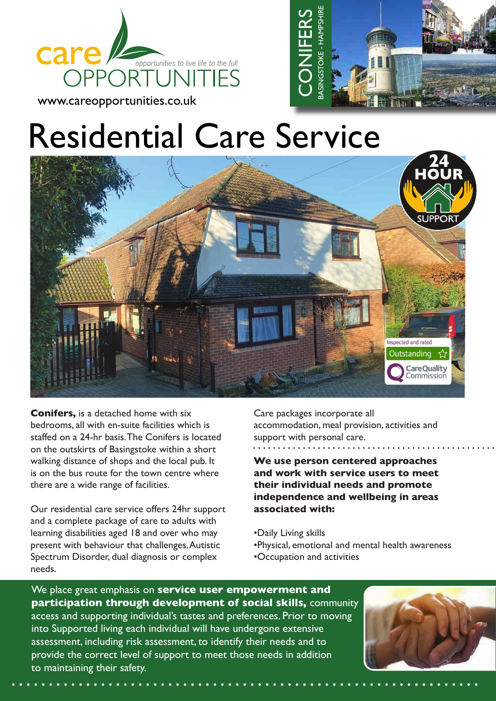





**Conifers,** is a detached home with six bedrooms, all with en-suite facilities which is staffed on a 24-hr basis. The Conifers is located on the outskirts of Basingstoke within a short walking distance of shops and the local pub. It is on the bus route for the town centre where there are a wide range of facilities.

Our residential care service offers 24hr support and a complete package of care to adults with learning disabilities aged 18 and over who may present with behaviour that challenges, Autistic Spectrum Disorder, dual diagnosis or complex needs.

Care packages incorporate all accommodation, meal provision, activities and support with personal care.

**We use person centered approaches and work with service users to meet their individual needs and promote independence and wellbeing in areas associated with:**

- •Daily Living skills
- •Physical, emotional and mental health awareness
- •Occupation and activities

We place great emphasis on **service user empowerment and participation through development of social skills,** community access and supporting individual's tastes and preferences. Prior to moving into Supported living each individual will have undergone extensive assessment, including risk assessment, to identify their needs and to provide the correct level of support to meet those needs in addition to maintaining their safety.